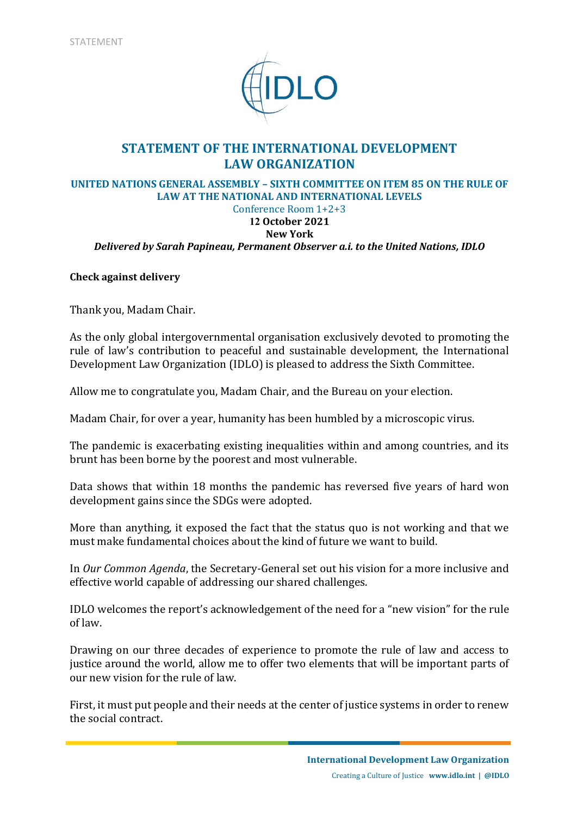

## **STATEMENT OF THE INTERNATIONAL DEVELOPMENT LAW ORGANIZATION**

#### **UNITED NATIONS GENERAL ASSEMBLY – SIXTH COMMITTEE ON ITEM 85 ON THE RULE OF LAW AT THE NATIONAL AND INTERNATIONAL LEVELS**  Conference Room 1+2+3

## **12 October 2021**

# **New York**

*Delivered by Sarah Papineau, Permanent Observer a.i. to the United Nations, IDLO*

#### **Check against delivery**

Thank you, Madam Chair.

As the only global intergovernmental organisation exclusively devoted to promoting the rule of law's contribution to peaceful and sustainable development, the International Development Law Organization (IDLO) is pleased to address the Sixth Committee.

Allow me to congratulate you, Madam Chair, and the Bureau on your election.

Madam Chair, for over a year, humanity has been humbled by a microscopic virus.

The pandemic is exacerbating existing inequalities within and among countries, and its brunt has been borne by the poorest and most vulnerable.

Data shows that within 18 months the pandemic has reversed five years of hard won development gains since the SDGs were adopted.

More than anything, it exposed the fact that the status quo is not working and that we must make fundamental choices about the kind of future we want to build.

In *Our Common Agenda*, the Secretary-General set out his vision for a more inclusive and effective world capable of addressing our shared challenges.

IDLO welcomes the report's acknowledgement of the need for a "new vision" for the rule of law.

Drawing on our three decades of experience to promote the rule of law and access to justice around the world, allow me to offer two elements that will be important parts of our new vision for the rule of law.

First, it must put people and their needs at the center of justice systems in order to renew the social contract.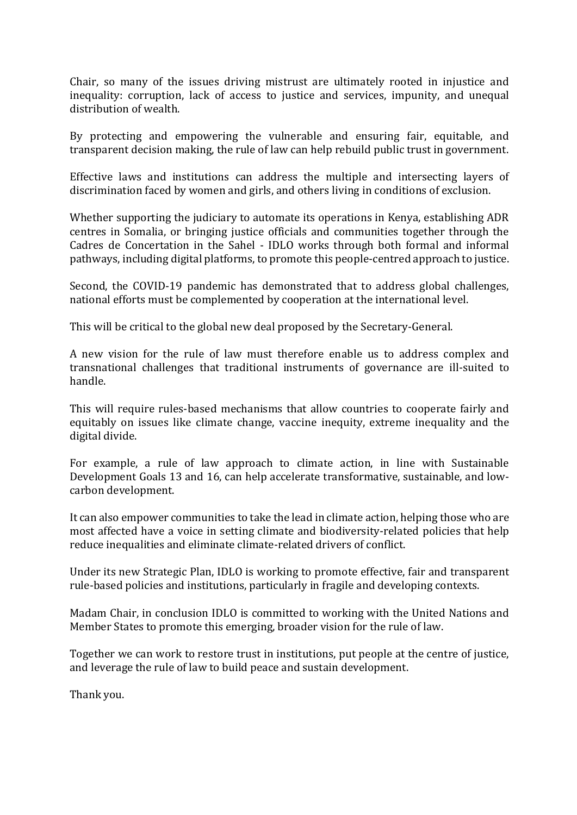Chair, so many of the issues driving mistrust are ultimately rooted in injustice and inequality: corruption, lack of access to justice and services, impunity, and unequal distribution of wealth.

By protecting and empowering the vulnerable and ensuring fair, equitable, and transparent decision making, the rule of law can help rebuild public trust in government.

Effective laws and institutions can address the multiple and intersecting layers of discrimination faced by women and girls, and others living in conditions of exclusion.

Whether supporting the judiciary to automate its operations in Kenya, establishing ADR centres in Somalia, or bringing justice officials and communities together through the Cadres de Concertation in the Sahel - IDLO works through both formal and informal pathways, including digital platforms, to promote this people-centred approach to justice.

Second, the COVID-19 pandemic has demonstrated that to address global challenges, national efforts must be complemented by cooperation at the international level.

This will be critical to the global new deal proposed by the Secretary-General.

A new vision for the rule of law must therefore enable us to address complex and transnational challenges that traditional instruments of governance are ill-suited to handle.

This will require rules-based mechanisms that allow countries to cooperate fairly and equitably on issues like climate change, vaccine inequity, extreme inequality and the digital divide.

For example, a rule of law approach to climate action, in line with Sustainable Development Goals 13 and 16, can help accelerate transformative, sustainable, and lowcarbon development.

It can also empower communities to take the lead in climate action, helping those who are most affected have a voice in setting climate and biodiversity-related policies that help reduce inequalities and eliminate climate-related drivers of conflict.

Under its new Strategic Plan, IDLO is working to promote effective, fair and transparent rule-based policies and institutions, particularly in fragile and developing contexts.

Madam Chair, in conclusion IDLO is committed to working with the United Nations and Member States to promote this emerging, broader vision for the rule of law.

Together we can work to restore trust in institutions, put people at the centre of justice, and leverage the rule of law to build peace and sustain development.

Thank you.